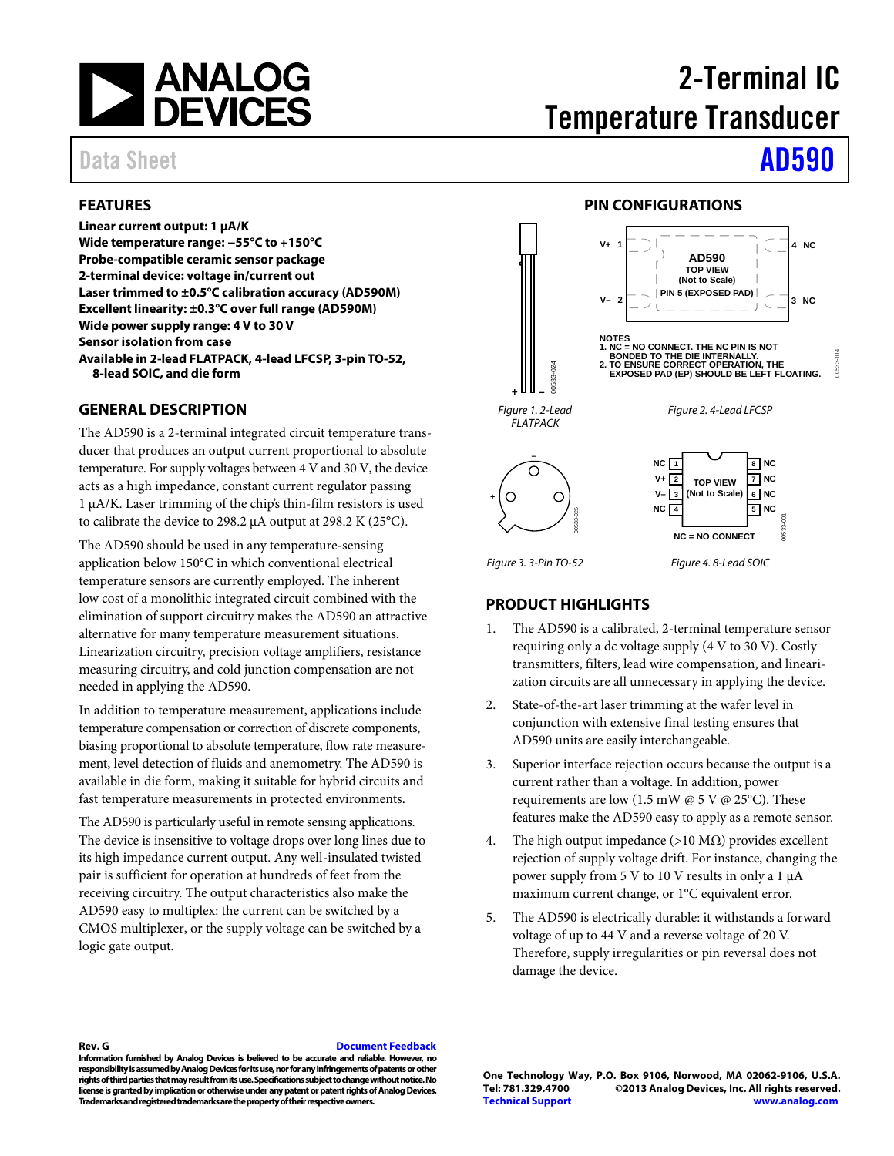

### <span id="page-0-0"></span>**FEATURES**

**Linear current output: 1 μA/K Wide temperature range: −55°C to +150°C Probe-compatible ceramic sensor package 2-terminal device: voltage in/current out Laser trimmed to ±0.5°C calibration accuracy (AD590M) Excellent linearity: ±0.3°C over full range (AD590M) Wide power supply range: 4 V to 30 V Sensor isolation from case Available in 2-lead FLATPACK, 4-lead LFCSP, 3-pin TO-52, 8-lead SOIC, and die form** 

#### <span id="page-0-1"></span>**GENERAL DESCRIPTION**

The AD590 is a 2-terminal integrated circuit temperature transducer that produces an output current proportional to absolute temperature. For supply voltages between 4 V and 30 V, the device acts as a high impedance, constant current regulator passing 1 μA/K. Laser trimming of the chip's thin-film resistors is used to calibrate the device to 298.2 μA output at 298.2 K (25°C).

The AD590 should be used in any temperature-sensing application below 150°C in which conventional electrical temperature sensors are currently employed. The inherent low cost of a monolithic integrated circuit combined with the elimination of support circuitry makes the AD590 an attractive alternative for many temperature measurement situations. Linearization circuitry, precision voltage amplifiers, resistance measuring circuitry, and cold junction compensation are not needed in applying the AD590.

In addition to temperature measurement, applications include temperature compensation or correction of discrete components, biasing proportional to absolute temperature, flow rate measurement, level detection of fluids and anemometry. The AD590 is available in die form, making it suitable for hybrid circuits and fast temperature measurements in protected environments.

The AD590 is particularly useful in remote sensing applications. The device is insensitive to voltage drops over long lines due to its high impedance current output. Any well-insulated twisted pair is sufficient for operation at hundreds of feet from the receiving circuitry. The output characteristics also make the AD590 easy to multiplex: the current can be switched by a CMOS multiplexer, or the supply voltage can be switched by a logic gate output.

# 2-Terminal IC Temperature Transducer

# Data Sheet **[AD590](http://www.analog.com/AD590?src=AD590.pdf)**

#### **PIN CONFIGURATIONS**

<span id="page-0-2"></span>

Figure 3. 3-Pin TO-52 Figure 4. 8-Lead SOIC

#### <span id="page-0-3"></span>**PRODUCT HIGHLIGHTS**

- The AD590 is a calibrated, 2-terminal temperature sensor requiring only a dc voltage supply (4 V to 30 V). Costly transmitters, filters, lead wire compensation, and linearization circuits are all unnecessary in applying the device.
- 2. State-of-the-art laser trimming at the wafer level in conjunction with extensive final testing ensures that AD590 units are easily interchangeable.
- 3. Superior interface rejection occurs because the output is a current rather than a voltage. In addition, power requirements are low (1.5 mW  $@$  5 V  $@$  25°C). These features make the AD590 easy to apply as a remote sensor.
- 4. The high output impedance (>10 M $\Omega$ ) provides excellent rejection of supply voltage drift. For instance, changing the power supply from 5 V to 10 V results in only a 1 μA maximum current change, or 1°C equivalent error.
- 5. The AD590 is electrically durable: it withstands a forward voltage of up to 44 V and a reverse voltage of 20 V. Therefore, supply irregularities or pin reversal does not damage the device.

**Rev. G [Document Feedback](https://form.analog.com/Form_Pages/feedback/documentfeedback.aspx?doc=AD590.pdf&page=%201&product=AD590&rev=G)** 

**Information furnished by Analog Devices is believed to be accurate and reliable. However, no responsibility is assumed by Analog Devices for its use, nor for any infringements of patents or other rights of third parties that may result from its use. Specifications subject to change without notice. No license is granted by implication or otherwise under any patent or patent rights of Analog Devices. Trademarks and registered trademarks are the property of their respective owners.** 

**One Technology Way, P.O. Box 9106, Norwood, MA 02062-9106, U.S.A.** ©2013 Analog Devices, Inc. All rights reserved. **[Technical Support](http://www.analog.com/en/content/technical_support_page/fca.html) [www.analog.com](http://www.analog.com/)**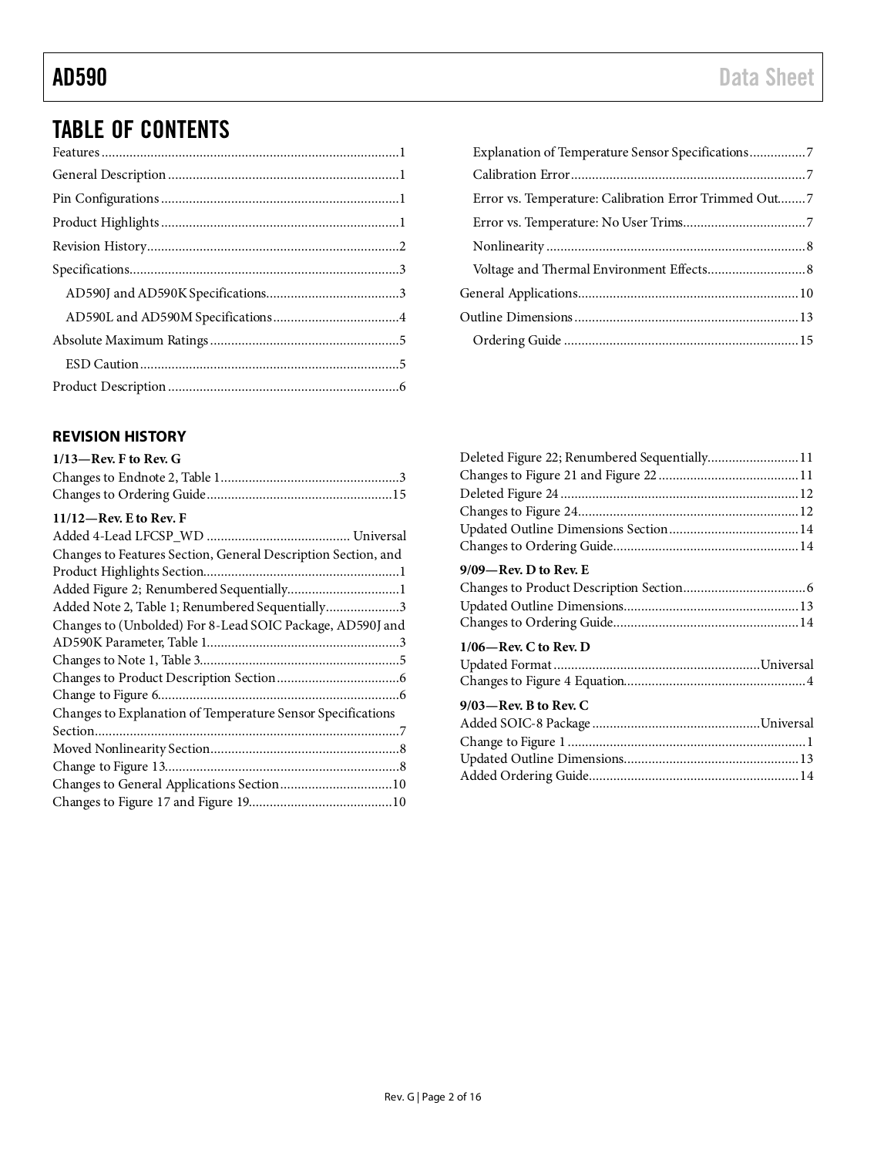# TABLE OF CONTENTS

#### <span id="page-1-0"></span>**REVISION HISTORY**

| Error vs. Temperature: Calibration Error Trimmed Out7 |  |
|-------------------------------------------------------|--|
|                                                       |  |
|                                                       |  |
|                                                       |  |
|                                                       |  |
|                                                       |  |
|                                                       |  |
|                                                       |  |

| Deleted Figure 22; Renumbered Sequentially 11 |  |
|-----------------------------------------------|--|
|                                               |  |
|                                               |  |
|                                               |  |
|                                               |  |
|                                               |  |
| $9/09$ —Rev. D to Rev. E                      |  |
|                                               |  |
|                                               |  |
|                                               |  |
| $1/06$ —Rev. C to Rev. D                      |  |
|                                               |  |
|                                               |  |
| $9/03$ —Rev. B to Rev. C                      |  |
|                                               |  |
|                                               |  |
|                                               |  |
|                                               |  |
|                                               |  |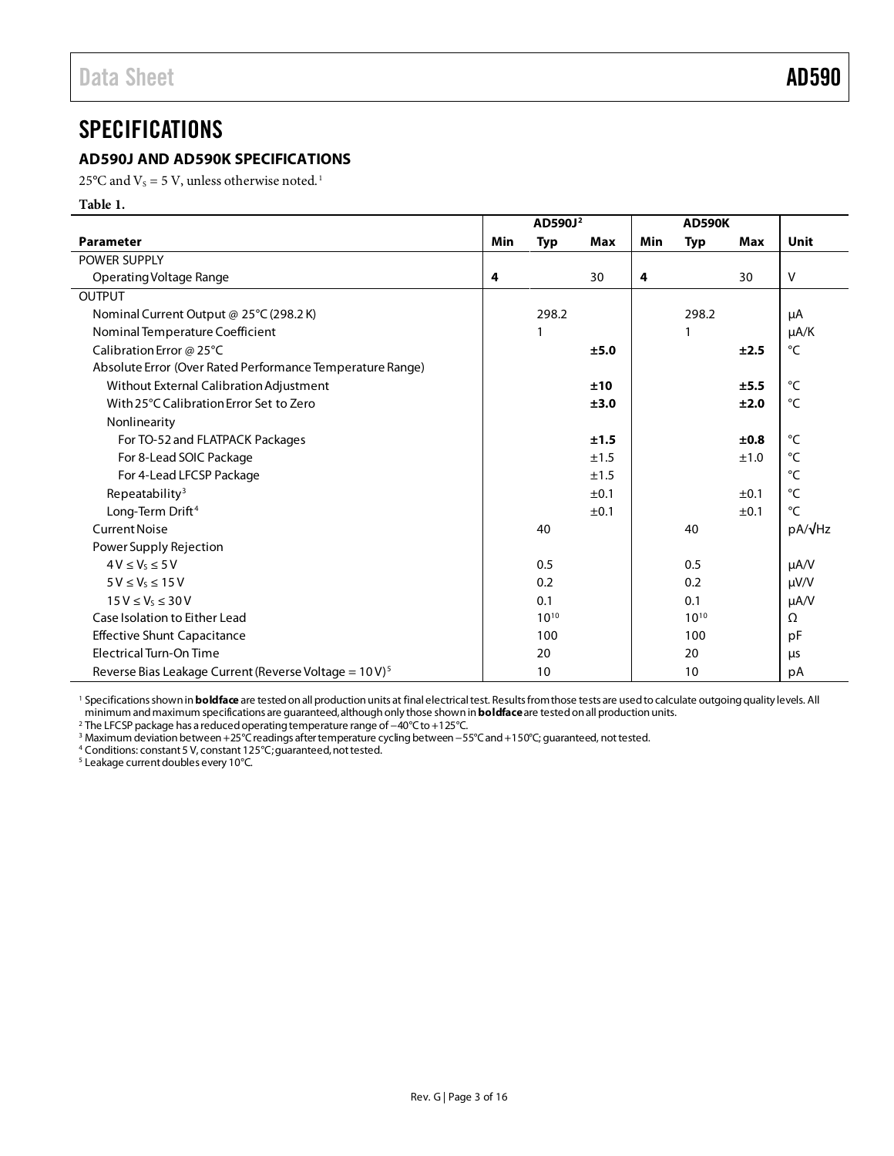### <span id="page-2-1"></span><span id="page-2-0"></span>**AD590J AND AD590K SPECIFICATIONS**

25 $\rm ^oC$  and V<sub>s</sub> = 5 V, unless otherwise noted.<sup>1</sup>

**Table 1.** 

|                                                                    | AD590J <sup>2</sup> |                  | <b>AD590K</b> |     |            |            |                 |
|--------------------------------------------------------------------|---------------------|------------------|---------------|-----|------------|------------|-----------------|
| <b>Parameter</b>                                                   | Min                 | <b>Typ</b>       | <b>Max</b>    | Min | <b>Typ</b> | <b>Max</b> | <b>Unit</b>     |
| POWER SUPPLY                                                       |                     |                  |               |     |            |            |                 |
| Operating Voltage Range                                            | 4                   |                  | 30            | 4   |            | 30         | $\vee$          |
| OUTPUT                                                             |                     |                  |               |     |            |            |                 |
| Nominal Current Output @ 25°C (298.2K)                             |                     | 298.2            |               |     | 298.2      |            | μA              |
| Nominal Temperature Coefficient                                    |                     |                  |               |     |            |            | $\mu A/K$       |
| Calibration Error @ 25°C                                           |                     |                  | ±5.0          |     |            | ±2.5       | °C              |
| Absolute Error (Over Rated Performance Temperature Range)          |                     |                  |               |     |            |            |                 |
| Without External Calibration Adjustment                            |                     |                  | ±10           |     |            | ±5.5       | $\circ$ C       |
| With 25°C Calibration Error Set to Zero                            |                     |                  | ±3.0          |     |            | ±2.0       | $\rm ^{\circ}C$ |
| Nonlinearity                                                       |                     |                  |               |     |            |            |                 |
| For TO-52 and FLATPACK Packages                                    |                     |                  | ±1.5          |     |            | ±0.8       | $\circ$ C       |
| For 8-Lead SOIC Package                                            |                     |                  | ±1.5          |     |            | ±1.0       | $\rm ^{\circ}C$ |
| For 4-Lead LFCSP Package                                           |                     |                  | ±1.5          |     |            |            | °C              |
| Repeatability <sup>3</sup>                                         |                     |                  | ±0.1          |     |            | ±0.1       | $\circ$ C       |
| Long-Term Drift <sup>4</sup>                                       |                     |                  | ±0.1          |     |            | ±0.1       | $^{\circ}$ C    |
| <b>Current Noise</b>                                               |                     | 40               |               |     | 40         |            | pA/√Hz          |
| Power Supply Rejection                                             |                     |                  |               |     |            |            |                 |
| $4V \leq V_s \leq 5V$                                              |                     | 0.5              |               |     | 0.5        |            | $\mu A/V$       |
| $5V \leq V_S \leq 15V$                                             |                     | 0.2              |               |     | 0.2        |            | $\mu V/V$       |
| $15 V \le V_5 \le 30 V$                                            |                     | 0.1              |               |     | 0.1        |            | $\mu A/V$       |
| Case Isolation to Either Lead                                      |                     | $10^{10}$        |               |     | $10^{10}$  |            | Ω               |
| <b>Effective Shunt Capacitance</b>                                 |                     | 100              |               |     | 100        |            | pF              |
| Electrical Turn-On Time                                            |                     | 20               |               |     | 20         |            | μs              |
| Reverse Bias Leakage Current (Reverse Voltage = 10 V) <sup>5</sup> |                     | 10 <sup>10</sup> |               |     | 10         |            | рA              |

<sup>1</sup> Specifications shown in **boldface** are tested on all production units at final electrical test. Results from those tests are used to calculate outgoing quality levels. All minimum and maximum specifications are guaranteed, although only those shown in **boldface**are tested on all production units.

<sup>2</sup> The LFCSP package has a reduced operating temperature range of −40°C to +125°C.

<sup>3</sup> Maximum deviation between +25°C readings after temperature cycling between −55°C and +150°C; guaranteed, not tested.

<sup>4</sup> Conditions: constant 5 V, constant 125°C; guaranteed, not tested.

<sup>5</sup> Leakage current doubles every 10°C.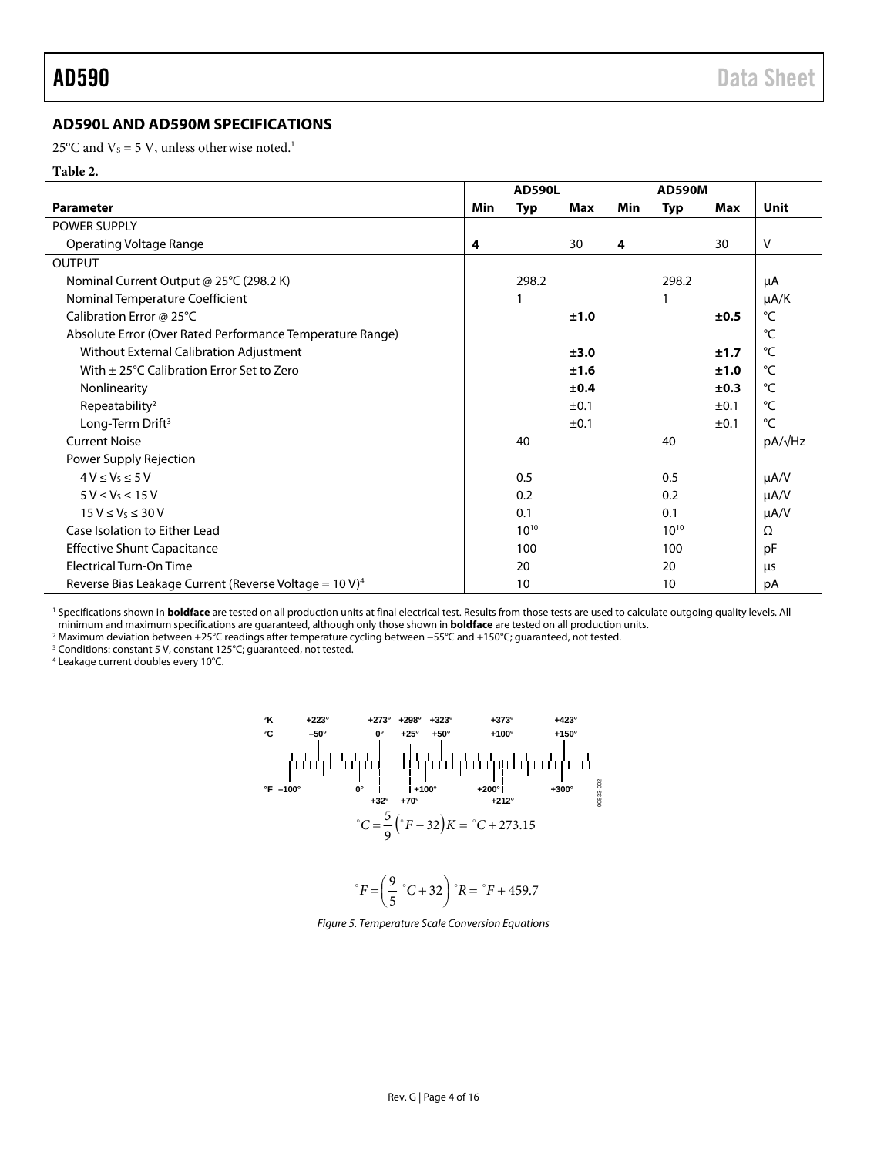#### <span id="page-3-0"></span>**AD590L AND AD590M SPECIFICATIONS**

25 $\rm{^{\circ}C}$  and V<sub>s</sub> = 5 V, unless otherwise noted.<sup>1</sup>

#### **Table 2.**

|                                                                    | <b>AD590L</b> |           | <b>AD590M</b> |     |           |      |                |
|--------------------------------------------------------------------|---------------|-----------|---------------|-----|-----------|------|----------------|
| <b>Parameter</b>                                                   | Min           | Typ       | Max           | Min | Typ       | Max  | <b>Unit</b>    |
| POWER SUPPLY                                                       |               |           |               |     |           |      |                |
| Operating Voltage Range                                            | 4             |           | 30            | 4   |           | 30   | V              |
| <b>OUTPUT</b>                                                      |               |           |               |     |           |      |                |
| Nominal Current Output @ 25°C (298.2 K)                            |               | 298.2     |               |     | 298.2     |      | μA             |
| Nominal Temperature Coefficient                                    |               |           |               |     |           |      | µA/K           |
| Calibration Error @ 25°C                                           |               |           | ±1.0          |     |           | ±0.5 | °C             |
| Absolute Error (Over Rated Performance Temperature Range)          |               |           |               |     |           |      | °C             |
| Without External Calibration Adjustment                            |               |           | ±3.0          |     |           | ±1.7 | $^{\circ}C$    |
| With $\pm$ 25°C Calibration Error Set to Zero                      |               |           | ±1.6          |     |           | ±1.0 | °C             |
| Nonlinearity                                                       |               |           | ±0.4          |     |           | ±0.3 | °C             |
| Repeatability <sup>2</sup>                                         |               |           | ±0.1          |     |           | ±0.1 | °C             |
| Long-Term Drift <sup>3</sup>                                       |               |           | ±0.1          |     |           | ±0.1 | $^{\circ}C$    |
| <b>Current Noise</b>                                               |               | 40        |               |     | 40        |      | $pA/\sqrt{Hz}$ |
| Power Supply Rejection                                             |               |           |               |     |           |      |                |
| $4V \leq V_S \leq 5V$                                              |               | 0.5       |               |     | 0.5       |      | $\mu A/V$      |
| $5 V \leq V_s \leq 15 V$                                           |               | 0.2       |               |     | 0.2       |      | $\mu A/V$      |
| $15V \leq V_S \leq 30V$                                            |               | 0.1       |               |     | 0.1       |      | $\mu A/V$      |
| Case Isolation to Either Lead                                      |               | $10^{10}$ |               |     | $10^{10}$ |      | Ω              |
| <b>Effective Shunt Capacitance</b>                                 |               | 100       |               |     | 100       |      | pF             |
| <b>Electrical Turn-On Time</b>                                     |               | 20        |               |     | 20        |      | μs             |
| Reverse Bias Leakage Current (Reverse Voltage = 10 V) <sup>4</sup> |               | 10        |               |     | 10        |      | рA             |

<sup>1</sup> Specifications shown in **boldface** are tested on all production units at final electrical test. Results from those tests are used to calculate outgoing quality levels. All minimum and maximum specifications are guaranteed, although only those shown in **boldface** are tested on all production units. 2

2 Maximum deviation between +25°C readings after temperature cycling between −55°C and +150°C; guaranteed, not tested.

<sup>3</sup> Conditions: constant 5 V, constant 125°C; guaranteed, not tested.

4 Leakage current doubles every 10°C.



$$
{}^{\circ}F = \left(\frac{9}{5} {}^{\circ}C + 32\right) {}^{\circ}R = {}^{\circ}F + 459.7
$$

Figure 5. Temperature Scale Conversion Equations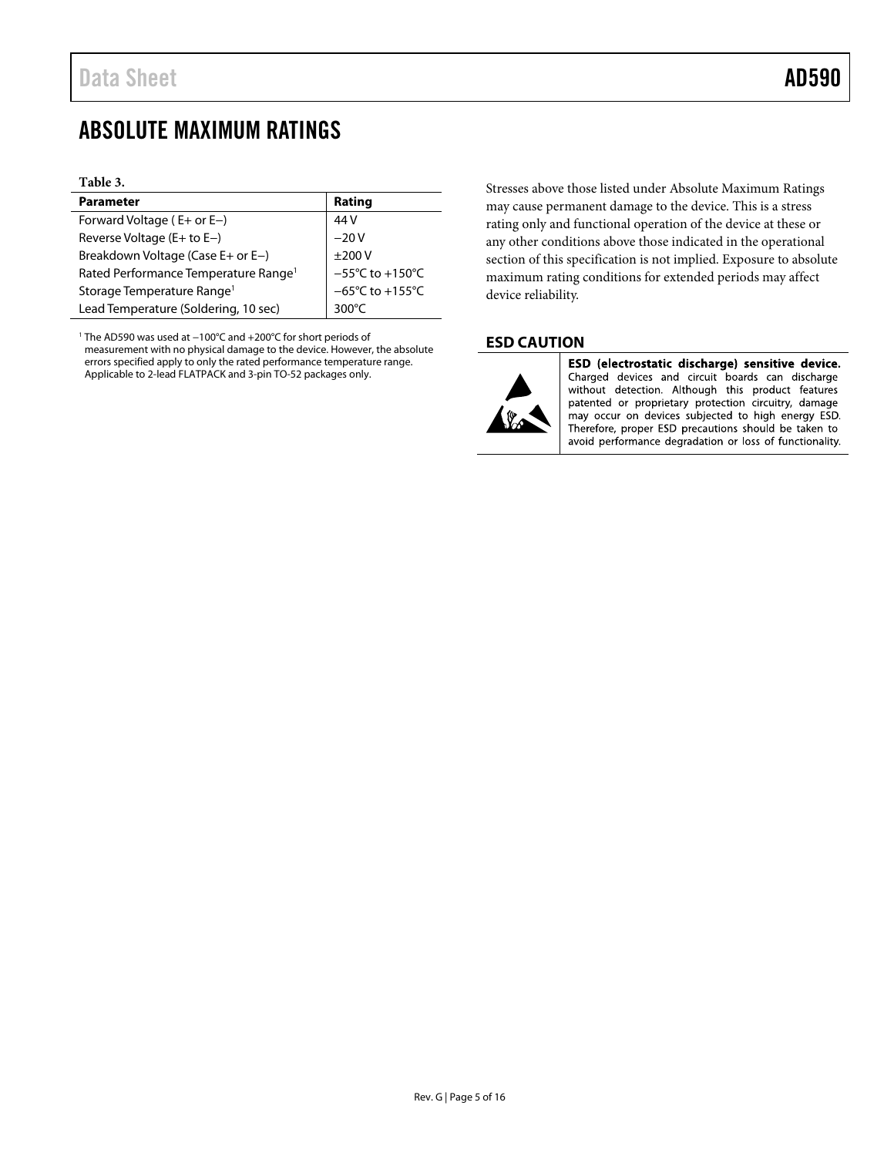#### <span id="page-4-0"></span>**Table 3.**

| <b>Parameter</b>                                 | Rating                               |
|--------------------------------------------------|--------------------------------------|
| Forward Voltage ( $E+$ or $E-$ )                 | 44 V                                 |
| Reverse Voltage ( $E+$ to $E-$ )                 | $-20V$                               |
| Breakdown Voltage (Case E+ or E-)                | ±200V                                |
| Rated Performance Temperature Range <sup>1</sup> | $-55^{\circ}$ C to $+150^{\circ}$ C  |
| Storage Temperature Range <sup>1</sup>           | $-65^{\circ}$ C to +155 $^{\circ}$ C |
| Lead Temperature (Soldering, 10 sec)             | $300^{\circ}$ C                      |

<span id="page-4-2"></span>1 The AD590 was used at −100°C and +200°C for short periods of measurement with no physical damage to the device. However, the absolute errors specified apply to only the rated performance temperature range. Applicable to 2-lead FLATPACK and 3-pin TO-52 packages only.

Stresses above those listed under Absolute Maximum Ratings may cause permanent damage to the device. This is a stress rating only and functional operation of the device at these or any other conditions above those indicated in the operational section of this specification is not implied. Exposure to absolute maximum rating conditions for extended periods may affect device reliability.

#### <span id="page-4-1"></span>**ESD CAUTION**



ESD (electrostatic discharge) sensitive device. Charged devices and circuit boards can discharge without detection. Although this product features patented or proprietary protection circuitry, damage may occur on devices subjected to high energy ESD. Therefore, proper ESD precautions should be taken to avoid performance degradation or loss of functionality.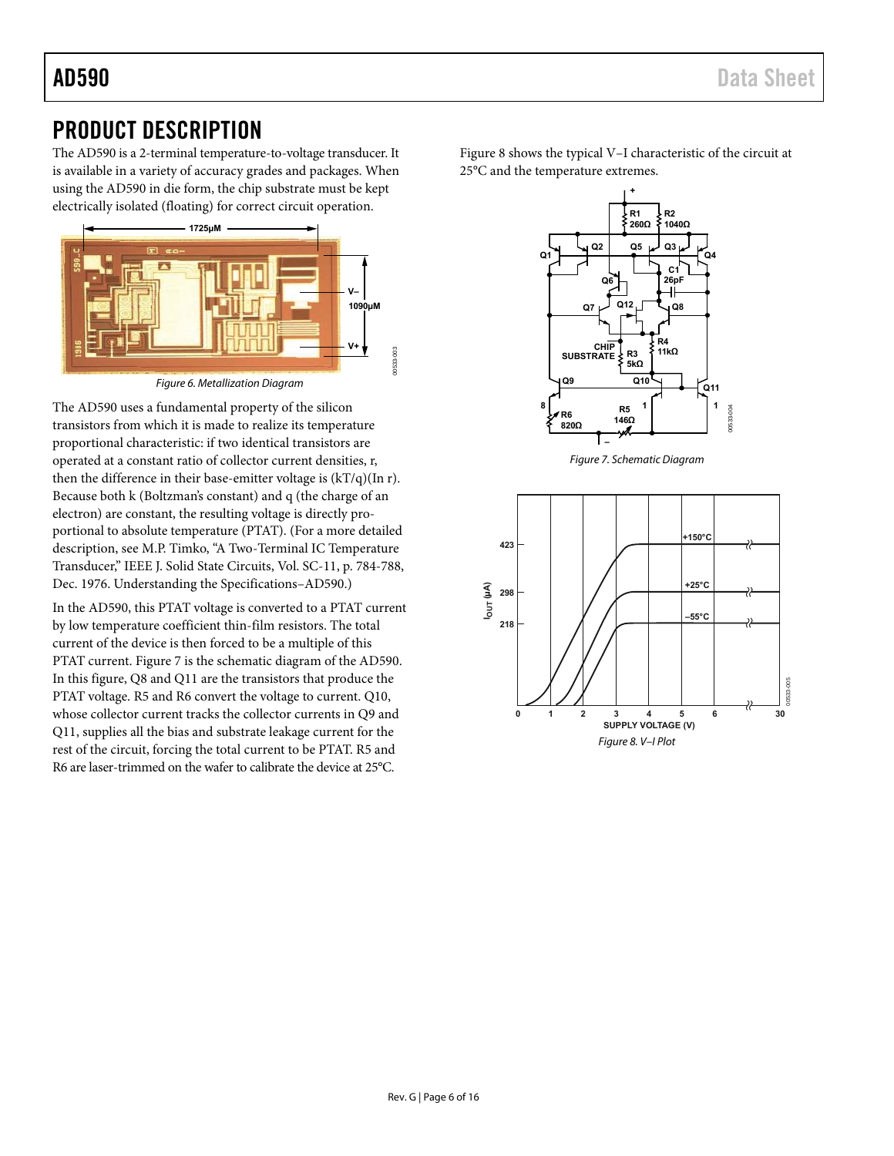# <span id="page-5-0"></span>PRODUCT DESCRIPTION

The AD590 is a 2-terminal temperature-to-voltage transducer. It is available in a variety of accuracy grades and packages. When using the AD590 in die form, the chip substrate must be kept electrically isolated (floating) for correct circuit operation.



The AD590 uses a fundamental property of the silicon transistors from which it is made to realize its temperature proportional characteristic: if two identical transistors are operated at a constant ratio of collector current densities, r, then the difference in their base-emitter voltage is  $(kT/q)(\text{In } r)$ . Because both k (Boltzman's constant) and q (the charge of an electron) are constant, the resulting voltage is directly proportional to absolute temperature (PTAT). (For a more detailed description, see M.P. Timko, "A Two-Terminal IC Temperature Transducer," IEEE J. Solid State Circuits, Vol. SC-11, p. 784-788, Dec. 1976. Understanding the Specifications–AD590.)

In the AD590, this PTAT voltage is converted to a PTAT current by low temperature coefficient thin-film resistors. The total current of the device is then forced to be a multiple of this PTAT current. [Figure 7](#page-5-1) is the schematic diagram of the AD590. In this figure, Q8 and Q11 are the transistors that produce the PTAT voltage. R5 and R6 convert the voltage to current. Q10, whose collector current tracks the collector currents in Q9 and Q11, supplies all the bias and substrate leakage current for the rest of the circuit, forcing the total current to be PTAT. R5 and R6 are laser-trimmed on the wafer to calibrate the device at 25°C.

[Figure 8](#page-5-2) shows the typical V–I characteristic of the circuit at 25°C and the temperature extremes.





<span id="page-5-2"></span><span id="page-5-1"></span>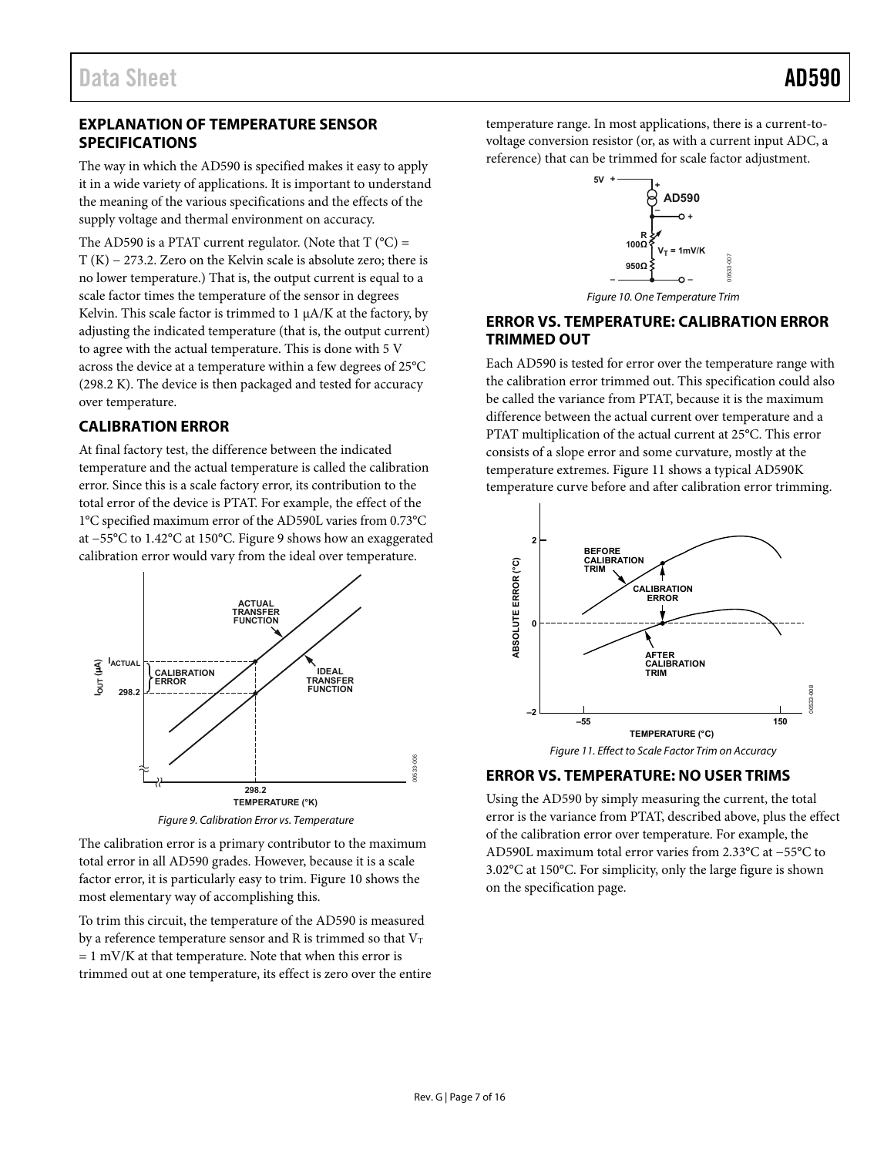#### <span id="page-6-0"></span>**EXPLANATION OF TEMPERATURE SENSOR SPECIFICATIONS**

The way in which the AD590 is specified makes it easy to apply it in a wide variety of applications. It is important to understand the meaning of the various specifications and the effects of the supply voltage and thermal environment on accuracy.

The AD590 is a PTAT current regulator. (Note that  $T (^{\circ}C) =$ T (K) − 273.2. Zero on the Kelvin scale is absolute zero; there is no lower temperature.) That is, the output current is equal to a scale factor times the temperature of the sensor in degrees Kelvin. This scale factor is trimmed to  $1 \mu A/K$  at the factory, by adjusting the indicated temperature (that is, the output current) to agree with the actual temperature. This is done with 5 V across the device at a temperature within a few degrees of 25°C (298.2 K). The device is then packaged and tested for accuracy over temperature.

### <span id="page-6-1"></span>**CALIBRATION ERROR**

At final factory test, the difference between the indicated temperature and the actual temperature is called the calibration error. Since this is a scale factory error, its contribution to the total error of the device is PTAT. For example, the effect of the 1°C specified maximum error of the AD590L varies from 0.73°C at −55°C to 1.42°C at 150°C[. Figure 9 s](#page-6-4)hows how an exaggerated calibration error would vary from the ideal over temperature.



Figure 9. Calibration Error vs. Temperature

<span id="page-6-4"></span>The calibration error is a primary contributor to the maximum total error in all AD590 grades. However, because it is a scale factor error, it is particularly easy to trim[. Figure 10](#page-6-5) shows the most elementary way of accomplishing this.

To trim this circuit, the temperature of the AD590 is measured by a reference temperature sensor and R is trimmed so that  $V_T$  $= 1$  mV/K at that temperature. Note that when this error is trimmed out at one temperature, its effect is zero over the entire

temperature range. In most applications, there is a current-tovoltage conversion resistor (or, as with a current input ADC, a reference) that can be trimmed for scale factor adjustment.



Figure 10. One Temperature Trim

00533-007

#### <span id="page-6-5"></span><span id="page-6-2"></span>**ERROR VS. TEMPERATURE: CALIBRATION ERROR TRIMMED OUT**

Each AD590 is tested for error over the temperature range with the calibration error trimmed out. This specification could also be called the variance from PTAT, because it is the maximum difference between the actual current over temperature and a PTAT multiplication of the actual current at 25°C. This error consists of a slope error and some curvature, mostly at the temperature extremes. [Figure 11 s](#page-6-6)hows a typical AD590K temperature curve before and after calibration error trimming.



Figure 11. Effect to Scale Factor Trim on Accuracy

#### <span id="page-6-6"></span><span id="page-6-3"></span>**ERROR VS. TEMPERATURE: NO USER TRIMS**

Using the AD590 by simply measuring the current, the total error is the variance from PTAT, described above, plus the effect of the calibration error over temperature. For example, the AD590L maximum total error varies from 2.33°C at −55°C to 3.02°C at 150°C. For simplicity, only the large figure is shown on the specification page.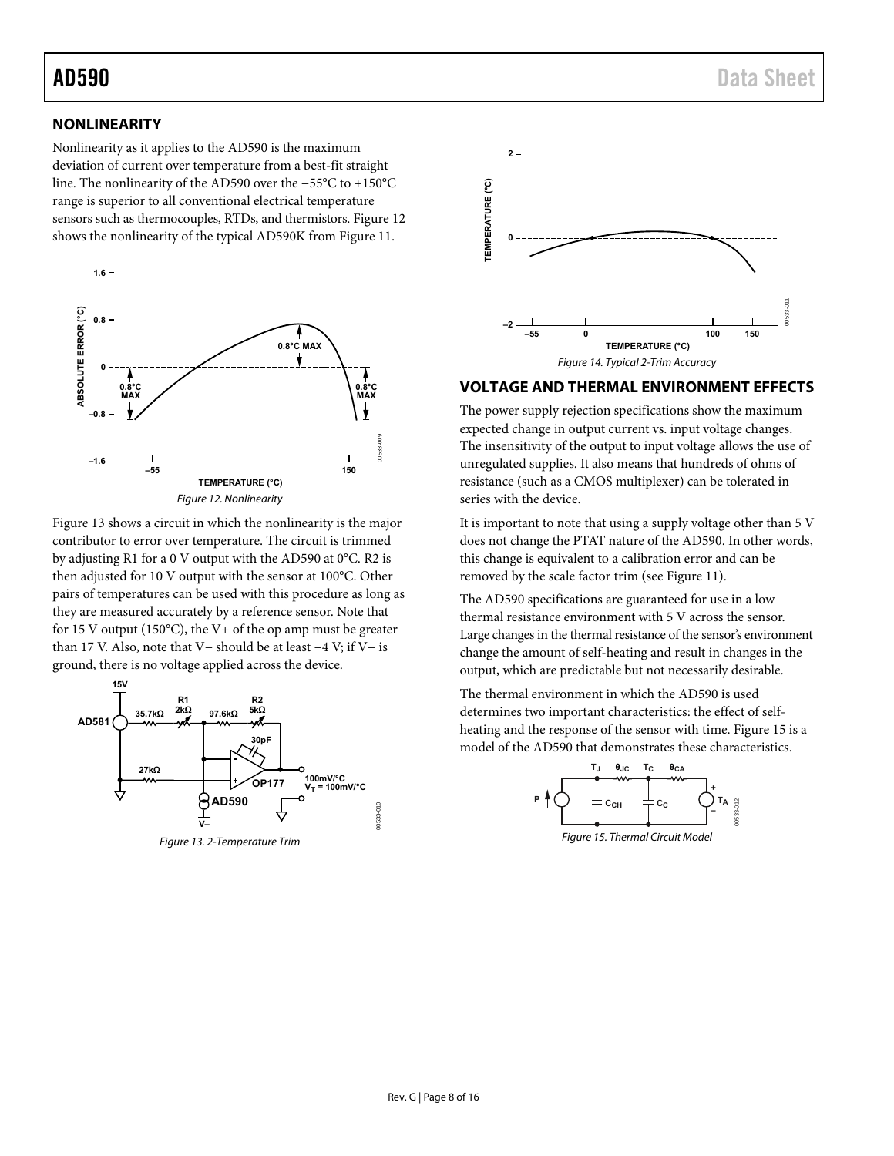#### <span id="page-7-0"></span>**NONLINEARITY**

Nonlinearity as it applies to the AD590 is the maximum deviation of current over temperature from a best-fit straight line. The nonlinearity of the AD590 over the −55°C to +150°C range is superior to all conventional electrical temperature sensors such as thermocouples, RTDs, and thermistors. [Figure 12](#page-7-2)  shows the nonlinearity of the typical AD590K fro[m Figure 11.](#page-6-6) 



<span id="page-7-2"></span>[Figure 13 s](#page-7-3)hows a circuit in which the nonlinearity is the major contributor to error over temperature. The circuit is trimmed by adjusting R1 for a 0 V output with the AD590 at 0°C. R2 is then adjusted for 10 V output with the sensor at 100°C. Other pairs of temperatures can be used with this procedure as long as they are measured accurately by a reference sensor. Note that for 15 V output (150 $^{\circ}$ C), the V + of the op amp must be greater than 17 V. Also, note that V− should be at least −4 V; if V− is ground, there is no voltage applied across the device.

<span id="page-7-3"></span>



#### <span id="page-7-5"></span><span id="page-7-1"></span>**VOLTAGE AND THERMAL ENVIRONMENT EFFECTS**

The power supply rejection specifications show the maximum expected change in output current vs. input voltage changes. The insensitivity of the output to input voltage allows the use of unregulated supplies. It also means that hundreds of ohms of resistance (such as a CMOS multiplexer) can be tolerated in series with the device.

It is important to note that using a supply voltage other than 5 V does not change the PTAT nature of the AD590. In other words, this change is equivalent to a calibration error and can be removed by the scale factor trim (se[e Figure 11\)](#page-6-6).

The AD590 specifications are guaranteed for use in a low thermal resistance environment with 5 V across the sensor. Large changes in the thermal resistance of the sensor's environment change the amount of self-heating and result in changes in the output, which are predictable but not necessarily desirable.

The thermal environment in which the AD590 is used determines two important characteristics: the effect of selfheating and the response of the sensor with time[. Figure 15 i](#page-7-4)s a model of the AD590 that demonstrates these characteristics.

<span id="page-7-4"></span>

Figure 15. Thermal Circuit Model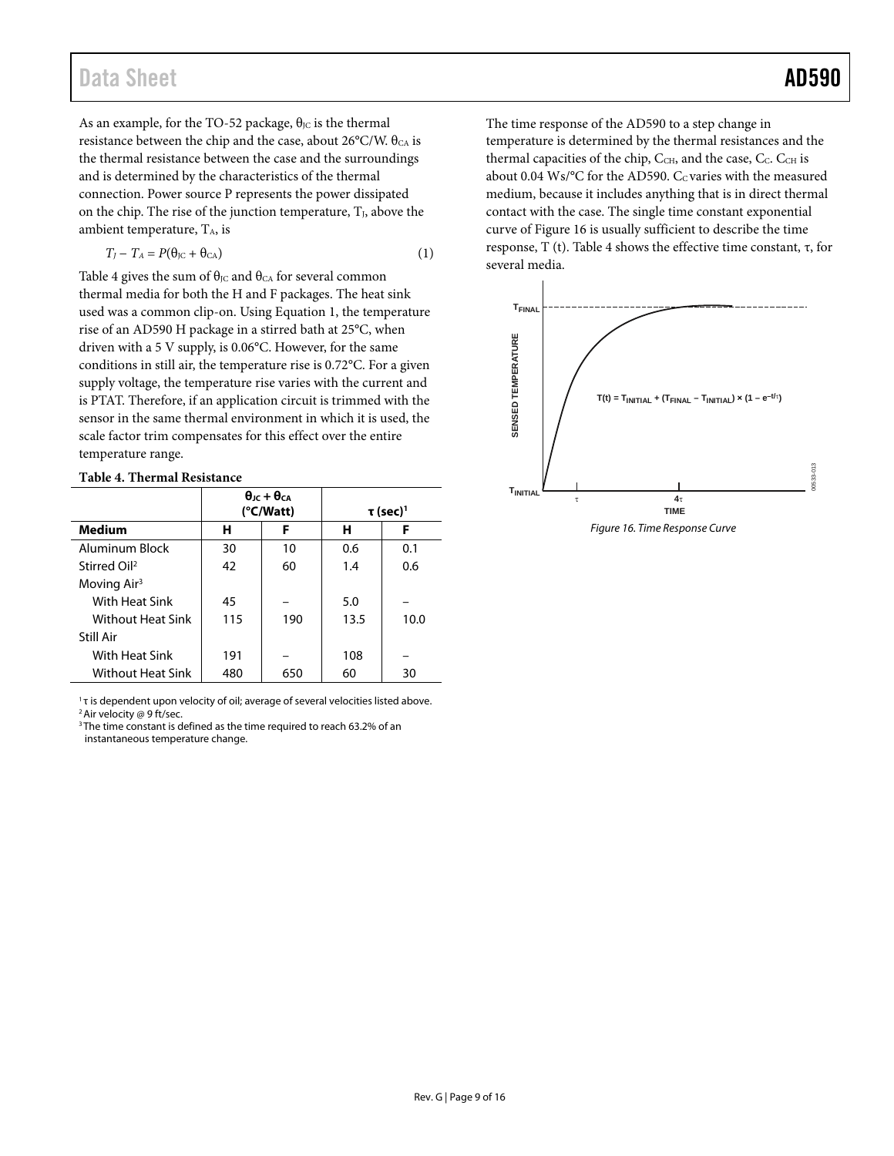As an example, for the TO-52 package,  $\theta_{\text{JC}}$  is the thermal resistance between the chip and the case, about 26°C/W.  $\theta_{CA}$  is the thermal resistance between the case and the surroundings and is determined by the characteristics of the thermal connection. Power source P represents the power dissipated on the chip. The rise of the junction temperature,  $T<sub>1</sub>$ , above the ambient temperature,  $T_A$ , is

$$
T_J - T_A = P(\theta_{\text{JC}} + \theta_{\text{CA}}) \tag{1}
$$

[Table 4](#page-8-0) gives the sum of  $\theta_{\text{JC}}$  and  $\theta_{\text{CA}}$  for several common thermal media for both the H and F packages. The heat sink used was a common clip-on. Using Equation 1, the temperature rise of an AD590 H package in a stirred bath at 25°C, when driven with a 5 V supply, is 0.06°C. However, for the same conditions in still air, the temperature rise is 0.72°C. For a given supply voltage, the temperature rise varies with the current and is PTAT. Therefore, if an application circuit is trimmed with the sensor in the same thermal environment in which it is used, the scale factor trim compensates for this effect over the entire temperature range.

#### <span id="page-8-0"></span>**Table 4. Thermal Resistance**

|                          | $\theta$ <sub>IC</sub> + $\theta$ <sub>CA</sub><br>(°C/Watt) |     |      | $\tau$ (sec) <sup>1</sup> |  |
|--------------------------|--------------------------------------------------------------|-----|------|---------------------------|--|
| <b>Medium</b>            | н                                                            | F   | н    | F                         |  |
| Aluminum Block           | 30                                                           | 10  | 0.6  | 0.1                       |  |
| Stirred Oil <sup>2</sup> | 42                                                           | 60  | 1.4  | 0.6                       |  |
| Moving $Air3$            |                                                              |     |      |                           |  |
| With Heat Sink           | 45                                                           |     | 5.0  |                           |  |
| <b>Without Heat Sink</b> | 115                                                          | 190 | 13.5 | 10.0                      |  |
| Still Air                |                                                              |     |      |                           |  |
| With Heat Sink           | 191                                                          |     | 108  |                           |  |
| <b>Without Heat Sink</b> | 480                                                          | 650 | 60   | 30                        |  |

 $1$ <sub>T</sub> is dependent upon velocity of oil; average of several velocities listed above. <sup>2</sup> Air velocity @ 9 ft/sec.

<sup>3</sup>The time constant is defined as the time required to reach 63.2% of an instantaneous temperature change.

The time response of the AD590 to a step change in temperature is determined by the thermal resistances and the thermal capacities of the chip,  $C_{\text{CH}}$ , and the case,  $C_{\text{C}}$ .  $C_{\text{CH}}$  is about 0.04 Ws/ $\rm ^{o}C$  for the AD590.  $C_{C}$  varies with the measured medium, because it includes anything that is in direct thermal contact with the case. The single time constant exponential curve o[f Figure 16](#page-8-1) is usually sufficient to describe the time response, T (t)[. Table 4 s](#page-8-0)hows the effective time constant, τ, for several media.



<span id="page-8-1"></span>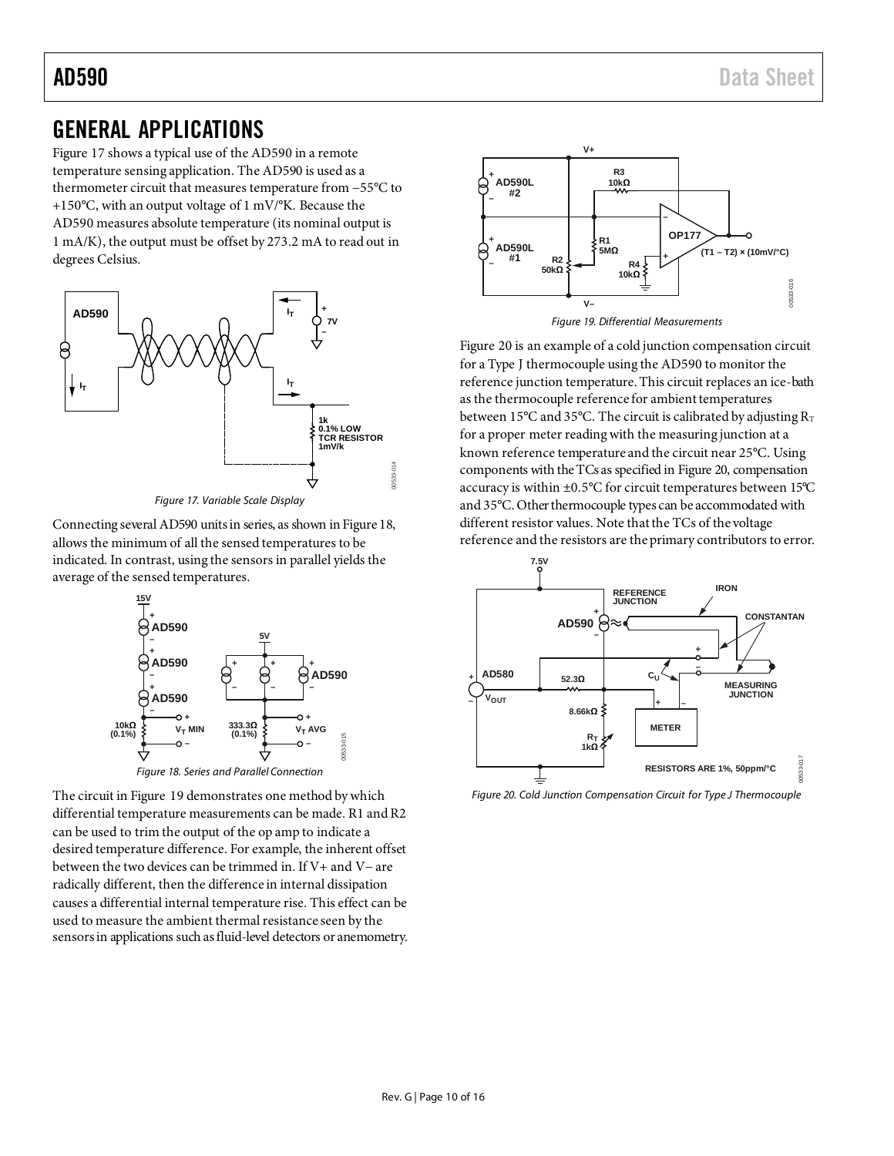## <span id="page-9-0"></span>GENERAL APPLICATIONS

[Figure 17](#page-9-1) shows a typical use of the AD590 in a remote temperature sensing application. The AD590 is used as a thermometer circuit that measures temperature from −55°C to +150°C, with an output voltage of 1 mV/°K. Because the AD590 measures absolute temperature (its nominal output is 1 mA/K), the output must be offset by 273.2 mA to read out in degrees Celsius.





<span id="page-9-1"></span>Connecting several AD590 units in series, as shown i[n Figure 18,](#page-9-2) allows the minimum of all the sensed temperatures to be indicated. In contrast, using the sensors in parallel yields the average of the sensed temperatures.



<span id="page-9-2"></span>The circuit i[n Figure 19](#page-9-3) demonstrates one method by which differential temperature measurements can be made. R1 and R2 can be used to trim the output of the op amp to indicate a desired temperature difference. For example, the inherent offset between the two devices can be trimmed in. If V+ and V− are radically different, then the difference in internal dissipation causes a differential internal temperature rise. This effect can be used to measure the ambient thermal resistance seen by the sensors in applications such as fluid-level detectors or anemometry.





<span id="page-9-3"></span>[Figure 20](#page-9-4) is an example of a cold junction compensation circuit for a Type J thermocouple using the AD590 to monitor the reference junction temperature. This circuit replaces an ice-bath as the thermocouple reference for ambient temperatures between 15°C and 35°C. The circuit is calibrated by adjusting  $R_T$ for a proper meter reading with the measuring junction at a known reference temperature and the circuit near 25°C. Using components with the TCs as specified i[n Figure 20,](#page-9-4) compensation accuracy is within ±0.5°C for circuit temperatures between 15°C and 35°C. Other thermocouple types can be accommodated with different resistor values. Note that the TCs of the voltage reference and the resistors are the primary contributors to error.



<span id="page-9-4"></span>*Figure 20. Cold Junction Compensation Circuit for Type J Thermocouple*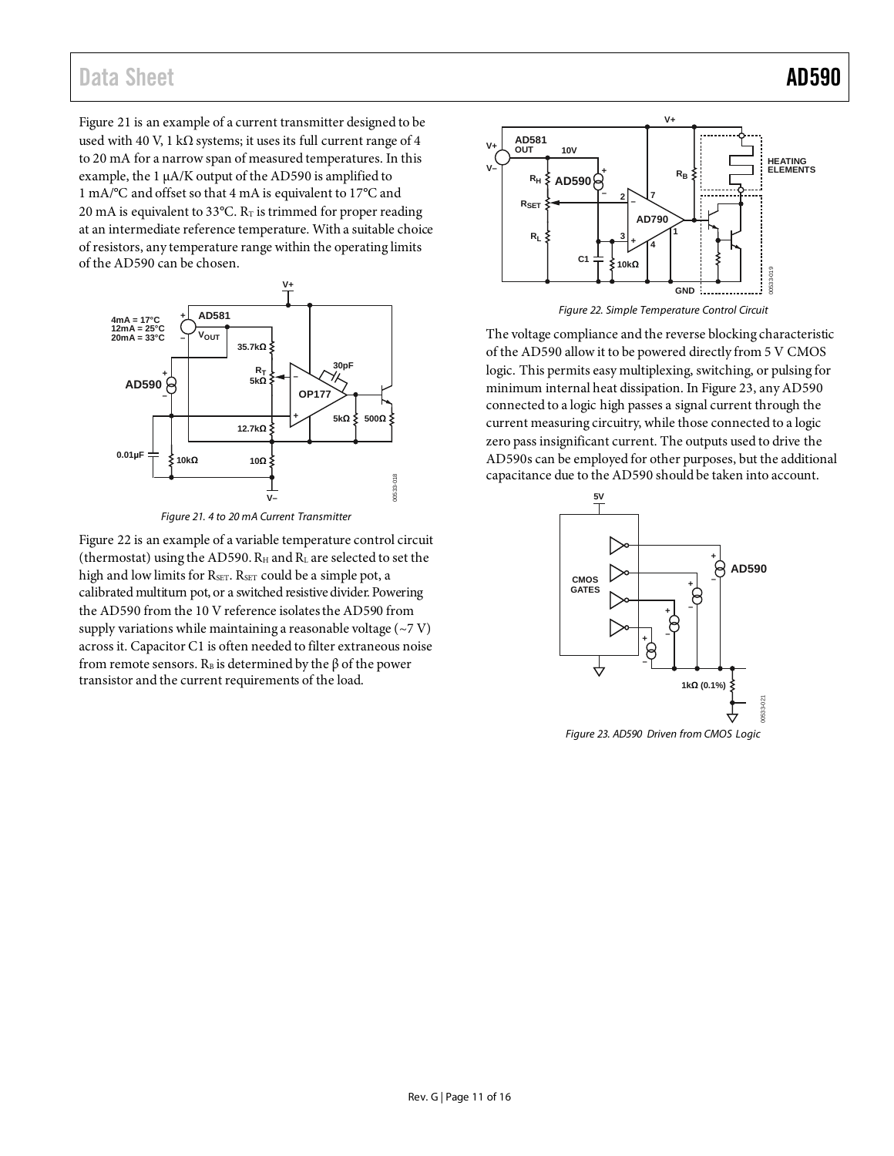## Data Sheet **AD590**

[Figure 21](#page-10-0) is an example of a current transmitter designed to be used with 40 V, 1 kΩ systems; it uses its full current range of 4 to 20 mA for a narrow span of measured temperatures. In this example, the 1 µA/K output of the AD590 is amplified to 1 mA/°C and offset so that 4 mA is equivalent to 17°C and 20 mA is equivalent to 33 $^{\circ}$ C. R<sub>T</sub> is trimmed for proper reading at an intermediate reference temperature. With a suitable choice of resistors, any temperature range within the operating limits of the AD590 can be chosen.



*Figure 21. 4 to 20 mA Current Transmitter*

<span id="page-10-0"></span>[Figure 22](#page-10-1) is an example of a variable temperature control circuit (thermostat) using the AD590.  $R_H$  and  $R_L$  are selected to set the high and low limits for RSET. RSET could be a simple pot, a calibrated multiturn pot, or a switched resistive divider. Powering the AD590 from the 10 V reference isolates the AD590 from supply variations while maintaining a reasonable voltage  $(\sim 7 \text{ V})$ across it. Capacitor C1 is often needed to filter extraneous noise from remote sensors.  $R_B$  is determined by the  $\beta$  of the power transistor and the current requirements of the load.



*Figure 22. Simple Temperature Control Circuit*

<span id="page-10-1"></span>The voltage compliance and the reverse blocking characteristic of the AD590 allow it to be powered directly from 5 V CMOS logic. This permits easy multiplexing, switching, or pulsing for minimum internal heat dissipation. I[n Figure 23,](#page-10-2) any AD590 connected to a logic high passes a signal current through the current measuring circuitry, while those connected to a logic zero pass insignificant current. The outputs used to drive the AD590s can be employed for other purposes, but the additional capacitance due to the AD590 should be taken into account.



<span id="page-10-2"></span>*Figure 23. AD590 Driven from CMOS Logic*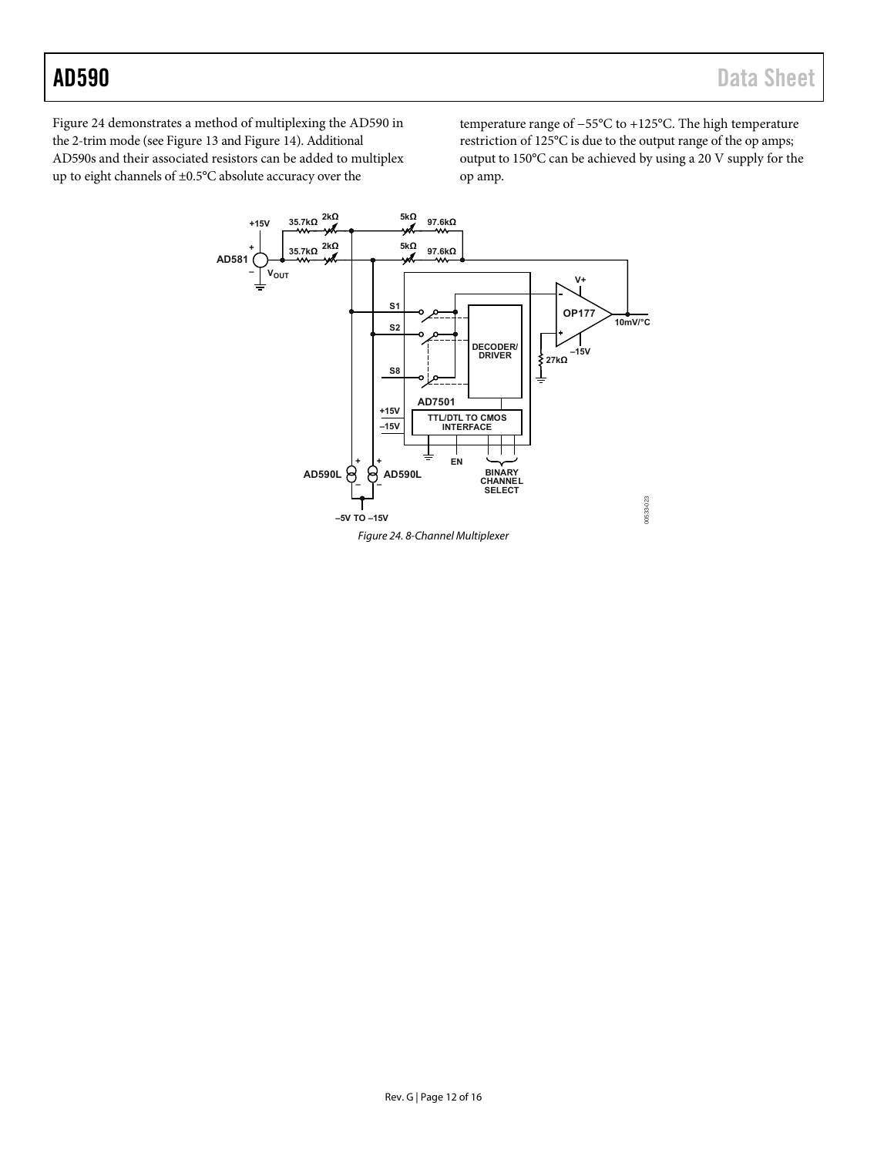[Figure 24 d](#page-11-0)emonstrates a method of multiplexing the AD590 in the 2-trim mode (se[e Figure 13](#page-7-3) and [Figure 14\)](#page-7-5). Additional AD590s and their associated resistors can be added to multiplex up to eight channels of ±0.5°C absolute accuracy over the

temperature range of −55°C to +125°C. The high temperature restriction of 125°C is due to the output range of the op amps; output to 150°C can be achieved by using a 20 V supply for the op amp.

<span id="page-11-0"></span>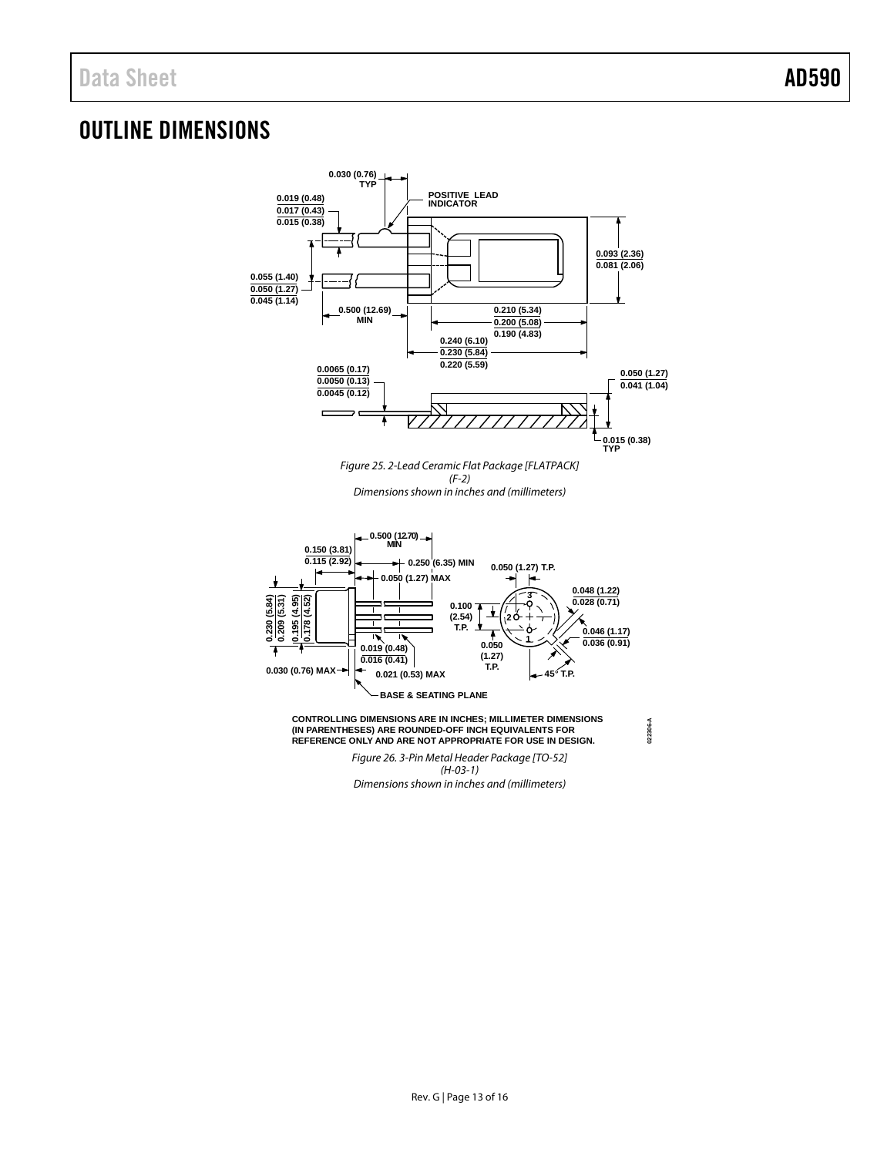# <span id="page-12-0"></span>OUTLINE DIMENSIONS



Dimensions shown in inches and (millimeters)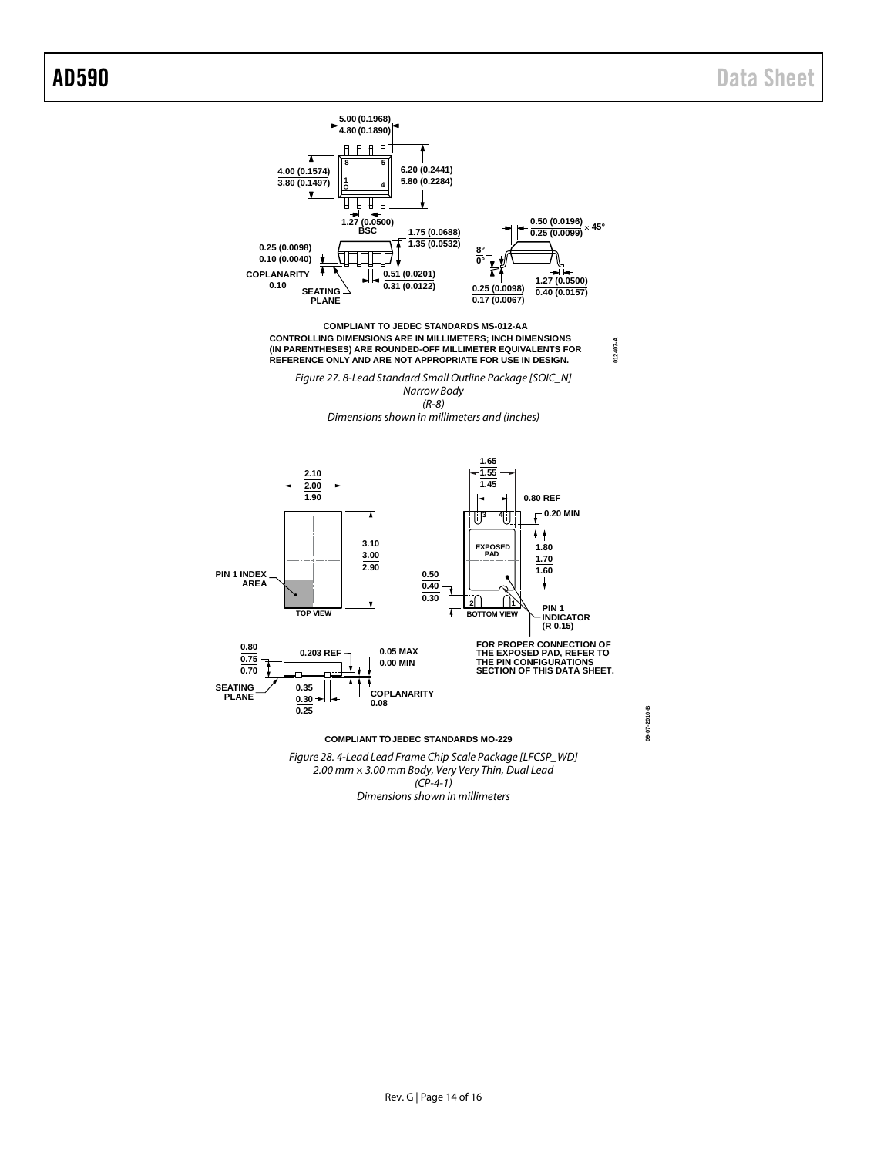

2.00 mm × 3.00 mm Body, Very Very Thin, Dual Lead  $(CP-4-1)$ Dimensions shown in millimeters

**09-07-2010-B**

09-07-2010-B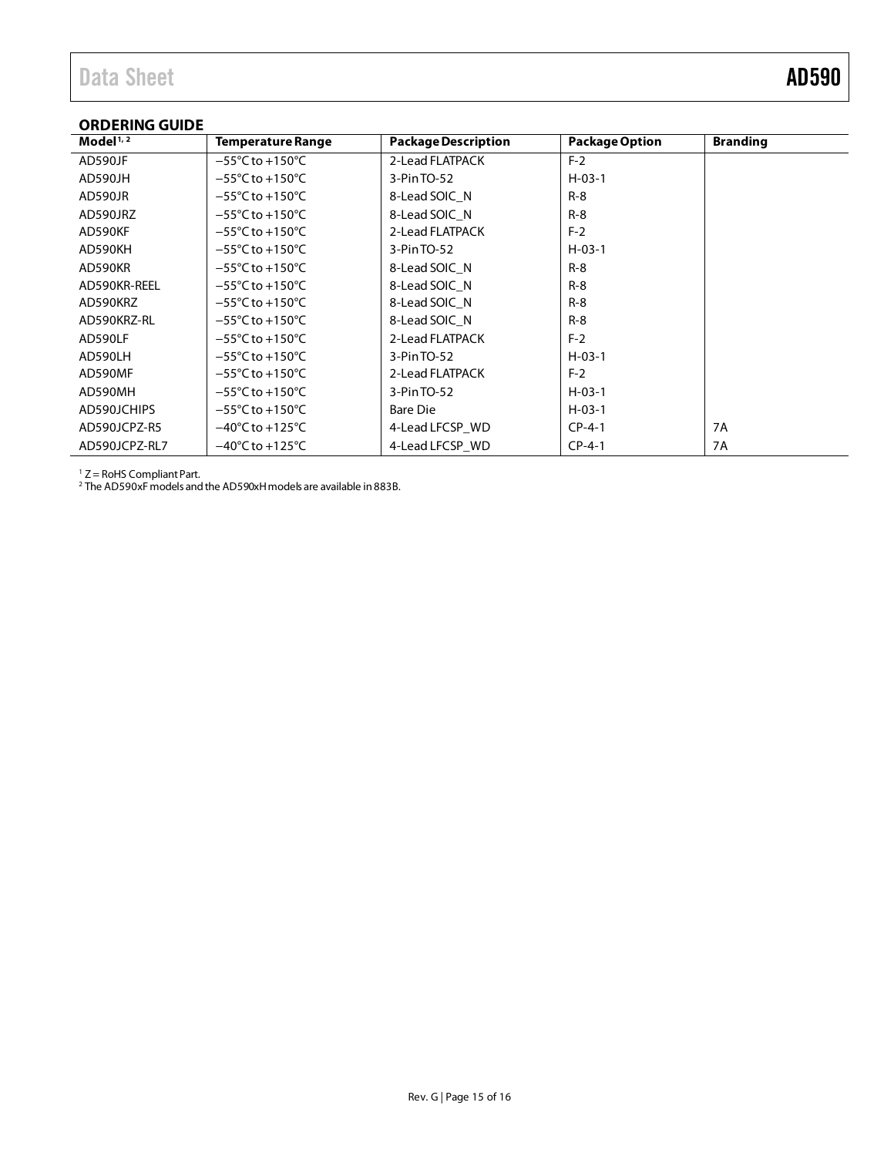### <span id="page-14-0"></span>**ORDERING GUIDE**

| Model $1/2$   | <b>Temperature Range</b>             | <b>Package Description</b> | <b>Package Option</b> | <b>Branding</b> |
|---------------|--------------------------------------|----------------------------|-----------------------|-----------------|
| AD590JF       | $-55^{\circ}$ C to +150 $^{\circ}$ C | 2-Lead FLATPACK            | $F-2$                 |                 |
| AD590JH       | $-55^{\circ}$ C to $+150^{\circ}$ C  | 3-PinTO-52                 | $H - 03 - 1$          |                 |
| AD590JR       | $-55^{\circ}$ C to $+150^{\circ}$ C  | 8-Lead SOIC N              | $R - 8$               |                 |
| AD590JRZ      | $-55^{\circ}$ C to $+150^{\circ}$ C  | 8-Lead SOIC N              | $R-8$                 |                 |
| AD590KF       | $-55^{\circ}$ C to $+150^{\circ}$ C  | 2-Lead FLATPACK            | $F-2$                 |                 |
| AD590KH       | $-55^{\circ}$ C to $+150^{\circ}$ C  | 3-Pin TO-52                | $H - 03 - 1$          |                 |
| AD590KR       | $-55^{\circ}$ C to $+150^{\circ}$ C  | 8-Lead SOIC N              | $R - 8$               |                 |
| AD590KR-REEL  | $-55^{\circ}$ C to $+150^{\circ}$ C  | 8-Lead SOIC N              | $R - 8$               |                 |
| AD590KRZ      | $-55^{\circ}$ C to $+150^{\circ}$ C  | 8-Lead SOIC N              | $R-8$                 |                 |
| AD590KRZ-RL   | $-55^{\circ}$ C to $+150^{\circ}$ C  | 8-Lead SOIC N              | $R-8$                 |                 |
| AD590LF       | $-55^{\circ}$ C to $+150^{\circ}$ C  | 2-Lead FLATPACK            | $F-2$                 |                 |
| AD590LH       | $-55^{\circ}$ C to $+150^{\circ}$ C  | 3-Pin TO-52                | $H - 03 - 1$          |                 |
| AD590MF       | $-55^{\circ}$ C to $+150^{\circ}$ C  | 2-Lead FLATPACK            | $F-2$                 |                 |
| AD590MH       | $-55^{\circ}$ C to $+150^{\circ}$ C  | 3-Pin TO-52                | $H - 03 - 1$          |                 |
| AD590JCHIPS   | $-55^{\circ}$ C to $+150^{\circ}$ C  | Bare Die                   | $H - 03 - 1$          |                 |
| AD590JCPZ-R5  | $-40^{\circ}$ C to $+125^{\circ}$ C  | 4-Lead LFCSP WD            | $CP-4-1$              | 7A              |
| AD590JCPZ-RL7 | $-40^{\circ}$ C to $+125^{\circ}$ C  | 4-Lead LFCSP WD            | $CP-4-1$              | 7A              |

<sup>1</sup> Z = RoHS Compliant Part.

<sup>2</sup> The AD590xF models and the AD590xH models are available in 883B.